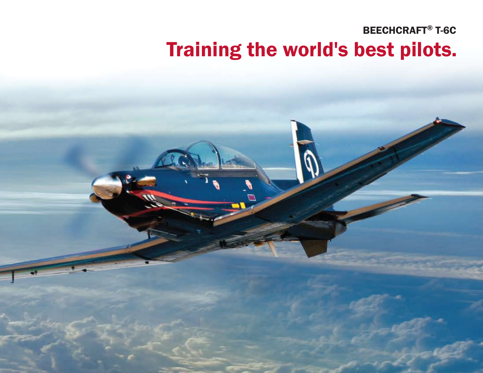## BEECHCRAFT® T-6C Training the world's best pilots.